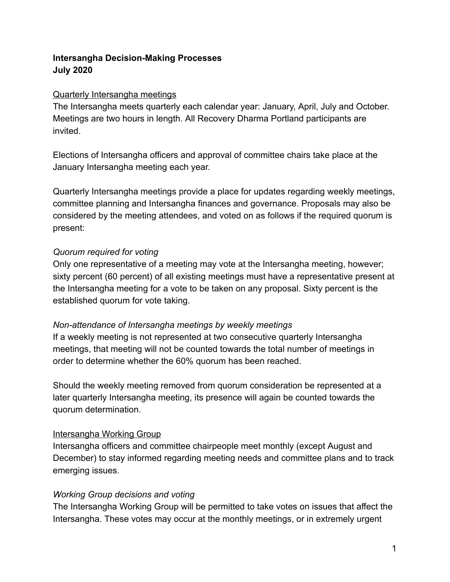# **Intersangha Decision-Making Processes July 2020**

#### Quarterly Intersangha meetings

The Intersangha meets quarterly each calendar year: January, April, July and October. Meetings are two hours in length. All Recovery Dharma Portland participants are invited.

Elections of Intersangha officers and approval of committee chairs take place at the January Intersangha meeting each year.

Quarterly Intersangha meetings provide a place for updates regarding weekly meetings, committee planning and Intersangha finances and governance. Proposals may also be considered by the meeting attendees, and voted on as follows if the required quorum is present:

## *Quorum required for voting*

Only one representative of a meeting may vote at the Intersangha meeting, however; sixty percent (60 percent) of all existing meetings must have a representative present at the Intersangha meeting for a vote to be taken on any proposal. Sixty percent is the established quorum for vote taking.

## *Non-attendance of Intersangha meetings by weekly meetings*

If a weekly meeting is not represented at two consecutive quarterly Intersangha meetings, that meeting will not be counted towards the total number of meetings in order to determine whether the 60% quorum has been reached.

Should the weekly meeting removed from quorum consideration be represented at a later quarterly Intersangha meeting, its presence will again be counted towards the quorum determination.

## Intersangha Working Group

Intersangha officers and committee chairpeople meet monthly (except August and December) to stay informed regarding meeting needs and committee plans and to track emerging issues.

## *Working Group decisions and voting*

The Intersangha Working Group will be permitted to take votes on issues that affect the Intersangha. These votes may occur at the monthly meetings, or in extremely urgent